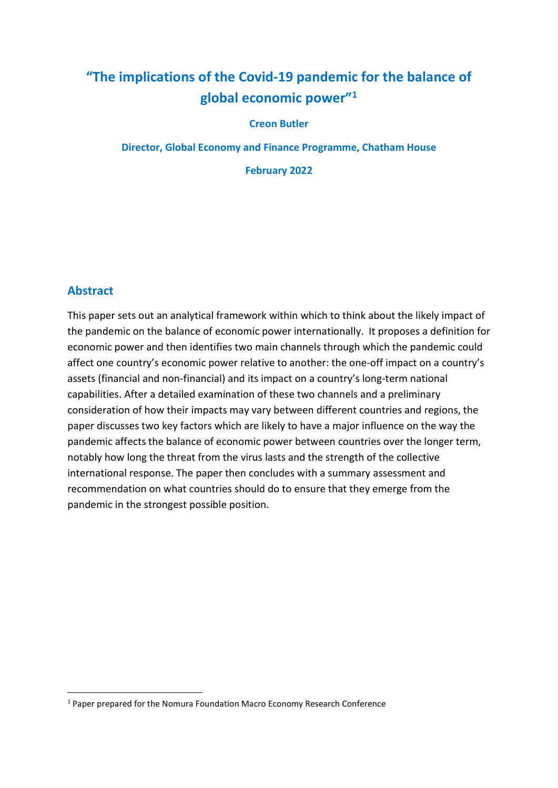# "The implications of the Covid-19 pandemic for the balance of global economic power"<sup>1</sup>

### Creon Butler

Director, Global Economy and Finance Programme, Chatham House

February 2022

### Abstract

This paper sets out an analytical framework within which to think about the likely impact of the pandemic on the balance of economic power internationally. It proposes a definition for economic power and then identifies two main channels through which the pandemic could affect one country's economic power relative to another: the one-off impact on a country's assets (financial and non-financial) and its impact on a country's long-term national capabilities. After a detailed examination of these two channels and a preliminary consideration of how their impacts may vary between different countries and regions, the paper discusses two key factors which are likely to have a major influence on the way the pandemic affects the balance of economic power between countries over the longer term, notably how long the threat from the virus lasts and the strength of the collective international response. The paper then concludes with a summary assessment and recommendation on what countries should do to ensure that they emerge from the pandemic in the strongest possible position.

<sup>&</sup>lt;sup>1</sup> Paper prepared for the Nomura Foundation Macro Economy Research Conference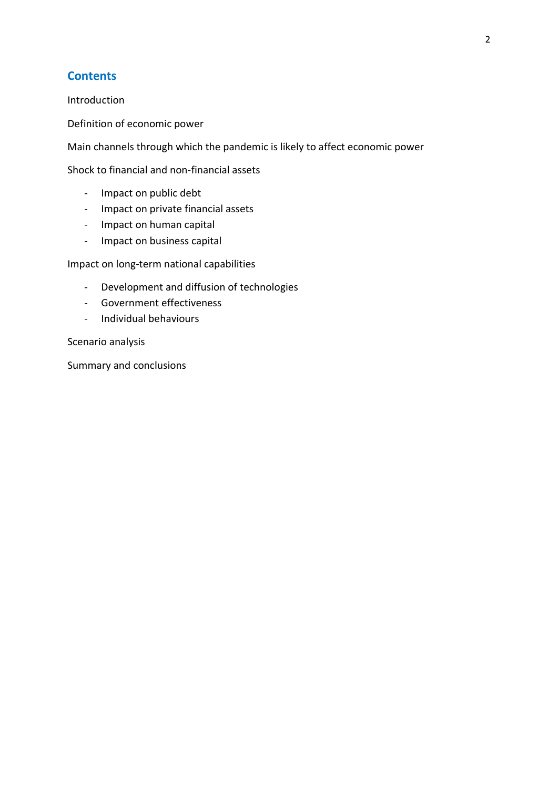### **Contents**

Introduction

Definition of economic power

Main channels through which the pandemic is likely to affect economic power

Shock to financial and non-financial assets

- Impact on public debt
- Impact on private financial assets
- Impact on human capital
- Impact on business capital

Impact on long-term national capabilities

- Development and diffusion of technologies
- Government effectiveness
- Individual behaviours

Scenario analysis

Summary and conclusions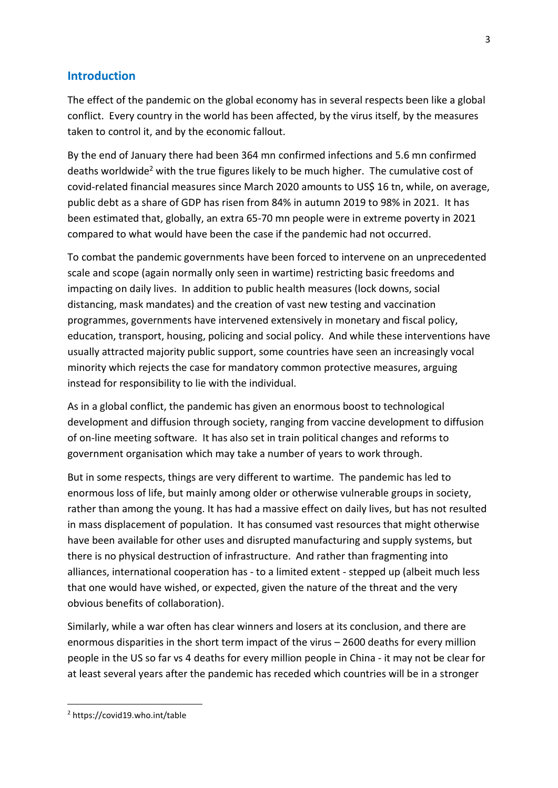### Introduction

The effect of the pandemic on the global economy has in several respects been like a global conflict. Every country in the world has been affected, by the virus itself, by the measures taken to control it, and by the economic fallout.

By the end of January there had been 364 mn confirmed infections and 5.6 mn confirmed deaths worldwide<sup>2</sup> with the true figures likely to be much higher. The cumulative cost of covid-related financial measures since March 2020 amounts to US\$ 16 tn, while, on average, public debt as a share of GDP has risen from 84% in autumn 2019 to 98% in 2021. It has been estimated that, globally, an extra 65-70 mn people were in extreme poverty in 2021 compared to what would have been the case if the pandemic had not occurred.

To combat the pandemic governments have been forced to intervene on an unprecedented scale and scope (again normally only seen in wartime) restricting basic freedoms and impacting on daily lives. In addition to public health measures (lock downs, social distancing, mask mandates) and the creation of vast new testing and vaccination programmes, governments have intervened extensively in monetary and fiscal policy, education, transport, housing, policing and social policy. And while these interventions have usually attracted majority public support, some countries have seen an increasingly vocal minority which rejects the case for mandatory common protective measures, arguing instead for responsibility to lie with the individual.

As in a global conflict, the pandemic has given an enormous boost to technological development and diffusion through society, ranging from vaccine development to diffusion of on-line meeting software. It has also set in train political changes and reforms to government organisation which may take a number of years to work through.

But in some respects, things are very different to wartime. The pandemic has led to enormous loss of life, but mainly among older or otherwise vulnerable groups in society, rather than among the young. It has had a massive effect on daily lives, but has not resulted in mass displacement of population. It has consumed vast resources that might otherwise have been available for other uses and disrupted manufacturing and supply systems, but there is no physical destruction of infrastructure. And rather than fragmenting into alliances, international cooperation has - to a limited extent - stepped up (albeit much less that one would have wished, or expected, given the nature of the threat and the very obvious benefits of collaboration).

Similarly, while a war often has clear winners and losers at its conclusion, and there are enormous disparities in the short term impact of the virus – 2600 deaths for every million people in the US so far vs 4 deaths for every million people in China - it may not be clear for at least several years after the pandemic has receded which countries will be in a stronger

<sup>2</sup> https://covid19.who.int/table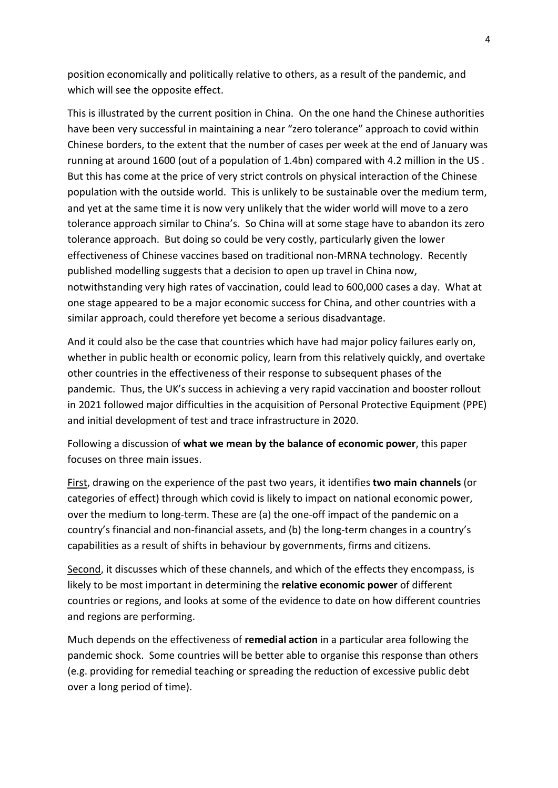position economically and politically relative to others, as a result of the pandemic, and which will see the opposite effect.

This is illustrated by the current position in China. On the one hand the Chinese authorities have been very successful in maintaining a near "zero tolerance" approach to covid within Chinese borders, to the extent that the number of cases per week at the end of January was running at around 1600 (out of a population of 1.4bn) compared with 4.2 million in the US . But this has come at the price of very strict controls on physical interaction of the Chinese population with the outside world. This is unlikely to be sustainable over the medium term, and yet at the same time it is now very unlikely that the wider world will move to a zero tolerance approach similar to China's. So China will at some stage have to abandon its zero tolerance approach. But doing so could be very costly, particularly given the lower effectiveness of Chinese vaccines based on traditional non-MRNA technology. Recently published modelling suggests that a decision to open up travel in China now, notwithstanding very high rates of vaccination, could lead to 600,000 cases a day. What at one stage appeared to be a major economic success for China, and other countries with a similar approach, could therefore yet become a serious disadvantage.

And it could also be the case that countries which have had major policy failures early on, whether in public health or economic policy, learn from this relatively quickly, and overtake other countries in the effectiveness of their response to subsequent phases of the pandemic. Thus, the UK's success in achieving a very rapid vaccination and booster rollout in 2021 followed major difficulties in the acquisition of Personal Protective Equipment (PPE) and initial development of test and trace infrastructure in 2020.

Following a discussion of what we mean by the balance of economic power, this paper focuses on three main issues.

First, drawing on the experience of the past two years, it identifies two main channels (or categories of effect) through which covid is likely to impact on national economic power, over the medium to long-term. These are (a) the one-off impact of the pandemic on a country's financial and non-financial assets, and (b) the long-term changes in a country's capabilities as a result of shifts in behaviour by governments, firms and citizens.

Second, it discusses which of these channels, and which of the effects they encompass, is likely to be most important in determining the relative economic power of different countries or regions, and looks at some of the evidence to date on how different countries and regions are performing.

Much depends on the effectiveness of remedial action in a particular area following the pandemic shock. Some countries will be better able to organise this response than others (e.g. providing for remedial teaching or spreading the reduction of excessive public debt over a long period of time).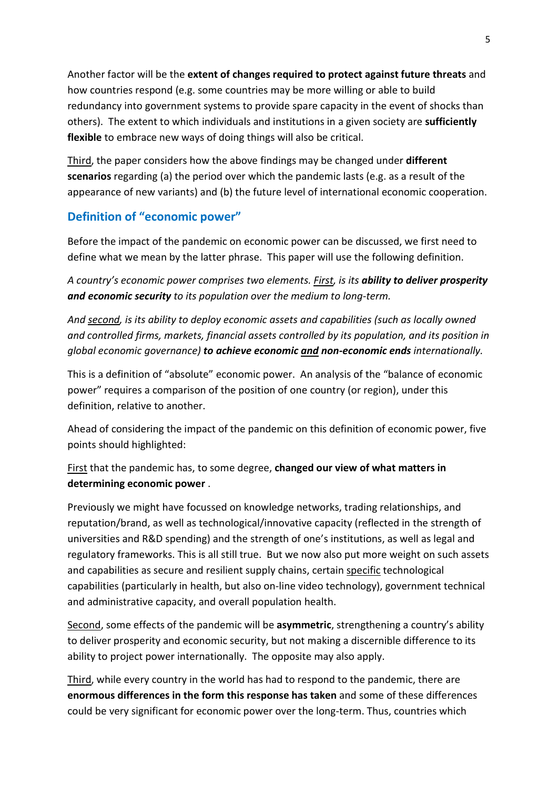Another factor will be the extent of changes required to protect against future threats and how countries respond (e.g. some countries may be more willing or able to build redundancy into government systems to provide spare capacity in the event of shocks than others). The extent to which individuals and institutions in a given society are sufficiently flexible to embrace new ways of doing things will also be critical.

Third, the paper considers how the above findings may be changed under **different** scenarios regarding (a) the period over which the pandemic lasts (e.g. as a result of the appearance of new variants) and (b) the future level of international economic cooperation.

## Definition of "economic power"

Before the impact of the pandemic on economic power can be discussed, we first need to define what we mean by the latter phrase. This paper will use the following definition.

A country's economic power comprises two elements. First, is its ability to deliver prosperity and economic security to its population over the medium to long-term.

And second, is its ability to deploy economic assets and capabilities (such as locally owned and controlled firms, markets, financial assets controlled by its population, and its position in global economic governance) to achieve economic and non-economic ends internationally.

This is a definition of "absolute" economic power. An analysis of the "balance of economic power" requires a comparison of the position of one country (or region), under this definition, relative to another.

Ahead of considering the impact of the pandemic on this definition of economic power, five points should highlighted:

First that the pandemic has, to some degree, changed our view of what matters in determining economic power .

Previously we might have focussed on knowledge networks, trading relationships, and reputation/brand, as well as technological/innovative capacity (reflected in the strength of universities and R&D spending) and the strength of one's institutions, as well as legal and regulatory frameworks. This is all still true. But we now also put more weight on such assets and capabilities as secure and resilient supply chains, certain specific technological capabilities (particularly in health, but also on-line video technology), government technical and administrative capacity, and overall population health.

Second, some effects of the pandemic will be asymmetric, strengthening a country's ability to deliver prosperity and economic security, but not making a discernible difference to its ability to project power internationally. The opposite may also apply.

Third, while every country in the world has had to respond to the pandemic, there are enormous differences in the form this response has taken and some of these differences could be very significant for economic power over the long-term. Thus, countries which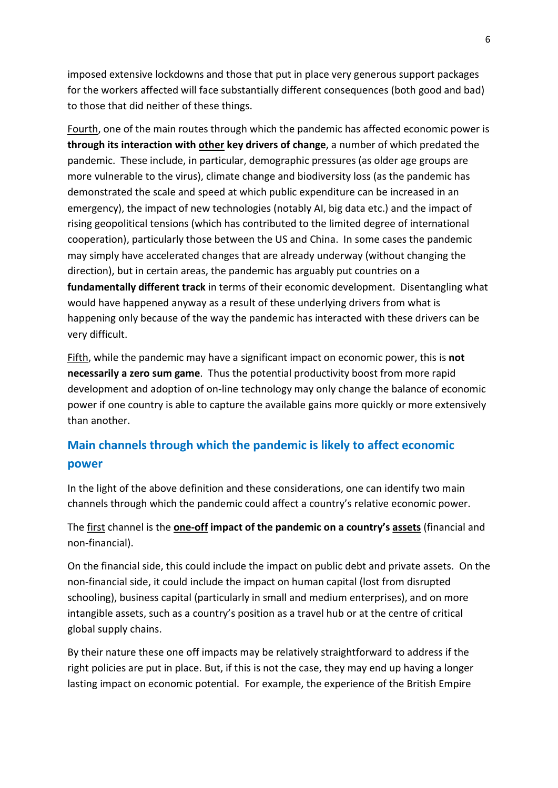imposed extensive lockdowns and those that put in place very generous support packages for the workers affected will face substantially different consequences (both good and bad) to those that did neither of these things.

Fourth, one of the main routes through which the pandemic has affected economic power is through its interaction with other key drivers of change, a number of which predated the pandemic. These include, in particular, demographic pressures (as older age groups are more vulnerable to the virus), climate change and biodiversity loss (as the pandemic has demonstrated the scale and speed at which public expenditure can be increased in an emergency), the impact of new technologies (notably AI, big data etc.) and the impact of rising geopolitical tensions (which has contributed to the limited degree of international cooperation), particularly those between the US and China. In some cases the pandemic may simply have accelerated changes that are already underway (without changing the direction), but in certain areas, the pandemic has arguably put countries on a fundamentally different track in terms of their economic development. Disentangling what would have happened anyway as a result of these underlying drivers from what is happening only because of the way the pandemic has interacted with these drivers can be very difficult.

Fifth, while the pandemic may have a significant impact on economic power, this is not necessarily a zero sum game. Thus the potential productivity boost from more rapid development and adoption of on-line technology may only change the balance of economic power if one country is able to capture the available gains more quickly or more extensively than another.

# Main channels through which the pandemic is likely to affect economic power

In the light of the above definition and these considerations, one can identify two main channels through which the pandemic could affect a country's relative economic power.

The first channel is the one-off impact of the pandemic on a country's assets (financial and non-financial).

On the financial side, this could include the impact on public debt and private assets. On the non-financial side, it could include the impact on human capital (lost from disrupted schooling), business capital (particularly in small and medium enterprises), and on more intangible assets, such as a country's position as a travel hub or at the centre of critical global supply chains.

By their nature these one off impacts may be relatively straightforward to address if the right policies are put in place. But, if this is not the case, they may end up having a longer lasting impact on economic potential. For example, the experience of the British Empire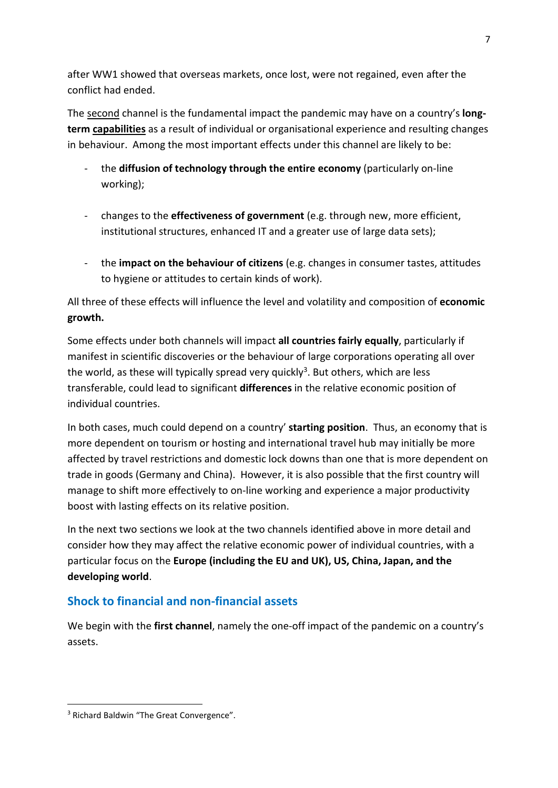after WW1 showed that overseas markets, once lost, were not regained, even after the conflict had ended.

The second channel is the fundamental impact the pandemic may have on a country's **long**term capabilities as a result of individual or organisational experience and resulting changes in behaviour. Among the most important effects under this channel are likely to be:

- the diffusion of technology through the entire economy (particularly on-line working);
- changes to the **effectiveness of government** (e.g. through new, more efficient, institutional structures, enhanced IT and a greater use of large data sets);
- the impact on the behaviour of citizens (e.g. changes in consumer tastes, attitudes to hygiene or attitudes to certain kinds of work).

All three of these effects will influence the level and volatility and composition of economic growth.

Some effects under both channels will impact all countries fairly equally, particularly if manifest in scientific discoveries or the behaviour of large corporations operating all over the world, as these will typically spread very quickly<sup>3</sup>. But others, which are less transferable, could lead to significant differences in the relative economic position of individual countries.

In both cases, much could depend on a country' **starting position**. Thus, an economy that is more dependent on tourism or hosting and international travel hub may initially be more affected by travel restrictions and domestic lock downs than one that is more dependent on trade in goods (Germany and China). However, it is also possible that the first country will manage to shift more effectively to on-line working and experience a major productivity boost with lasting effects on its relative position.

In the next two sections we look at the two channels identified above in more detail and consider how they may affect the relative economic power of individual countries, with a particular focus on the Europe (including the EU and UK), US, China, Japan, and the developing world.

# Shock to financial and non-financial assets

We begin with the first channel, namely the one-off impact of the pandemic on a country's assets.

<sup>&</sup>lt;sup>3</sup> Richard Baldwin "The Great Convergence".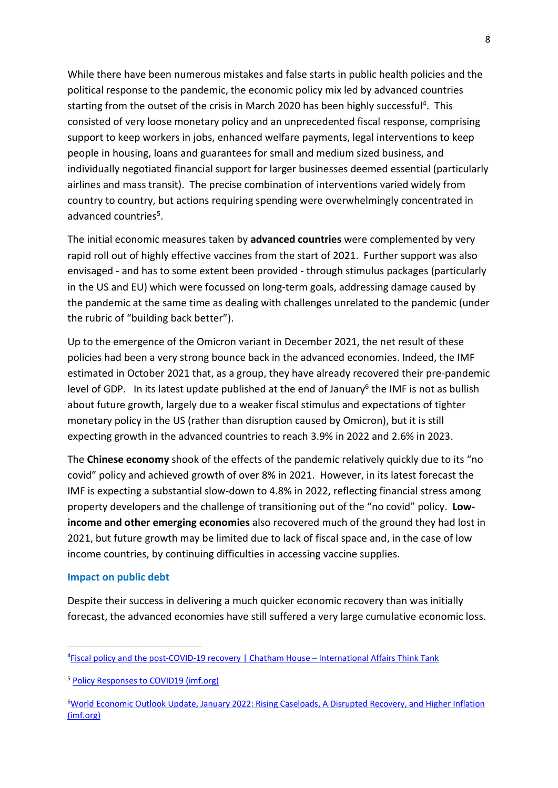While there have been numerous mistakes and false starts in public health policies and the political response to the pandemic, the economic policy mix led by advanced countries starting from the outset of the crisis in March 2020 has been highly successful<sup>4</sup>. This consisted of very loose monetary policy and an unprecedented fiscal response, comprising support to keep workers in jobs, enhanced welfare payments, legal interventions to keep people in housing, loans and guarantees for small and medium sized business, and individually negotiated financial support for larger businesses deemed essential (particularly airlines and mass transit). The precise combination of interventions varied widely from country to country, but actions requiring spending were overwhelmingly concentrated in advanced countries<sup>5</sup>.

The initial economic measures taken by advanced countries were complemented by very rapid roll out of highly effective vaccines from the start of 2021. Further support was also envisaged - and has to some extent been provided - through stimulus packages (particularly in the US and EU) which were focussed on long-term goals, addressing damage caused by the pandemic at the same time as dealing with challenges unrelated to the pandemic (under the rubric of "building back better").

Up to the emergence of the Omicron variant in December 2021, the net result of these policies had been a very strong bounce back in the advanced economies. Indeed, the IMF estimated in October 2021 that, as a group, they have already recovered their pre-pandemic level of GDP. In its latest update published at the end of January<sup>6</sup> the IMF is not as bullish about future growth, largely due to a weaker fiscal stimulus and expectations of tighter monetary policy in the US (rather than disruption caused by Omicron), but it is still expecting growth in the advanced countries to reach 3.9% in 2022 and 2.6% in 2023.

The **Chinese economy** shook of the effects of the pandemic relatively quickly due to its "no covid" policy and achieved growth of over 8% in 2021. However, in its latest forecast the IMF is expecting a substantial slow-down to 4.8% in 2022, reflecting financial stress among property developers and the challenge of transitioning out of the "no covid" policy. Lowincome and other emerging economies also recovered much of the ground they had lost in 2021, but future growth may be limited due to lack of fiscal space and, in the case of low income countries, by continuing difficulties in accessing vaccine supplies.

### Impact on public debt

Despite their success in delivering a much quicker economic recovery than was initially forecast, the advanced economies have still suffered a very large cumulative economic loss.

<sup>4</sup>Fiscal policy and the post-COVID-19 recovery | Chatham House – International Affairs Think Tank

<sup>5</sup> Policy Responses to COVID19 (imf.org)

<sup>6</sup>World Economic Outlook Update, January 2022: Rising Caseloads, A Disrupted Recovery, and Higher Inflation (imf.org)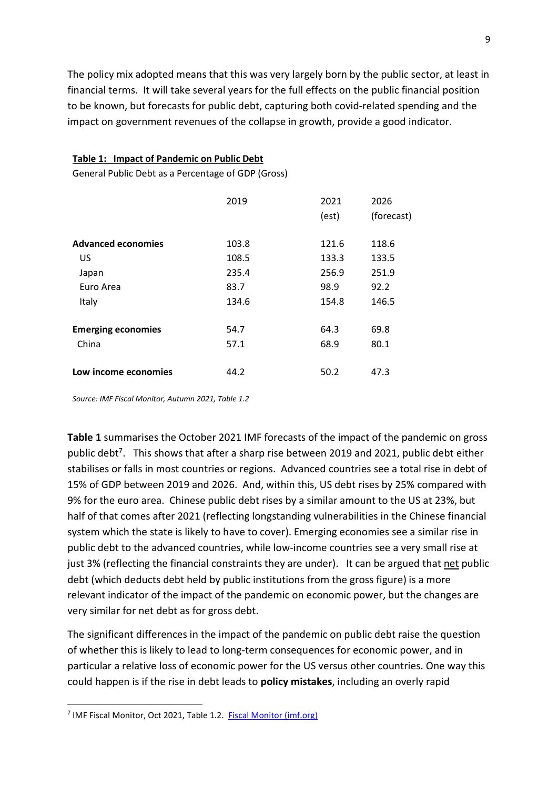The policy mix adopted means that this was very largely born by the public sector, at least in financial terms. It will take several years for the full effects on the public financial position to be known, but forecasts for public debt, capturing both covid-related spending and the impact on government revenues of the collapse in growth, provide a good indicator.

### Table 1: Impact of Pandemic on Public Debt

General Public Debt as a Percentage of GDP (Gross)

|                           | 2019  | 2021<br>(est) | 2026<br>(forecast) |
|---------------------------|-------|---------------|--------------------|
| <b>Advanced economies</b> | 103.8 | 121.6         | 118.6              |
| US                        | 108.5 | 133.3         | 133.5              |
| Japan                     | 235.4 | 256.9         | 251.9              |
| Euro Area                 | 83.7  | 98.9          | 92.2               |
| Italy                     | 134.6 | 154.8         | 146.5              |
| <b>Emerging economies</b> | 54.7  | 64.3          | 69.8               |
| China                     | 57.1  | 68.9          | 80.1               |
| Low income economies      | 44.2  | 50.2          | 47.3               |

Source: IMF Fiscal Monitor, Autumn 2021, Table 1.2

Table 1 summarises the October 2021 IMF forecasts of the impact of the pandemic on gross public debt<sup>7</sup>. This shows that after a sharp rise between 2019 and 2021, public debt either stabilises or falls in most countries or regions. Advanced countries see a total rise in debt of 15% of GDP between 2019 and 2026. And, within this, US debt rises by 25% compared with 9% for the euro area. Chinese public debt rises by a similar amount to the US at 23%, but half of that comes after 2021 (reflecting longstanding vulnerabilities in the Chinese financial system which the state is likely to have to cover). Emerging economies see a similar rise in public debt to the advanced countries, while low-income countries see a very small rise at just 3% (reflecting the financial constraints they are under). It can be argued that net public debt (which deducts debt held by public institutions from the gross figure) is a more relevant indicator of the impact of the pandemic on economic power, but the changes are very similar for net debt as for gross debt.

The significant differences in the impact of the pandemic on public debt raise the question of whether this is likely to lead to long-term consequences for economic power, and in particular a relative loss of economic power for the US versus other countries. One way this could happen is if the rise in debt leads to policy mistakes, including an overly rapid

<sup>&</sup>lt;sup>7</sup> IMF Fiscal Monitor, Oct 2021, Table 1.2. Fiscal Monitor (imf.org)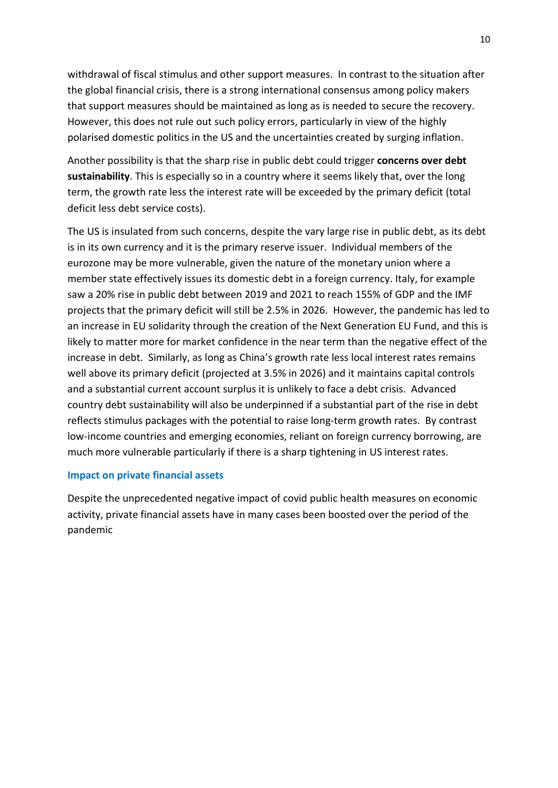withdrawal of fiscal stimulus and other support measures. In contrast to the situation after the global financial crisis, there is a strong international consensus among policy makers that support measures should be maintained as long as is needed to secure the recovery. However, this does not rule out such policy errors, particularly in view of the highly polarised domestic politics in the US and the uncertainties created by surging inflation.

Another possibility is that the sharp rise in public debt could trigger concerns over debt sustainability. This is especially so in a country where it seems likely that, over the long term, the growth rate less the interest rate will be exceeded by the primary deficit (total deficit less debt service costs).

The US is insulated from such concerns, despite the vary large rise in public debt, as its debt is in its own currency and it is the primary reserve issuer. Individual members of the eurozone may be more vulnerable, given the nature of the monetary union where a member state effectively issues its domestic debt in a foreign currency. Italy, for example saw a 20% rise in public debt between 2019 and 2021 to reach 155% of GDP and the IMF projects that the primary deficit will still be 2.5% in 2026. However, the pandemic has led to an increase in EU solidarity through the creation of the Next Generation EU Fund, and this is likely to matter more for market confidence in the near term than the negative effect of the increase in debt. Similarly, as long as China's growth rate less local interest rates remains well above its primary deficit (projected at 3.5% in 2026) and it maintains capital controls and a substantial current account surplus it is unlikely to face a debt crisis. Advanced country debt sustainability will also be underpinned if a substantial part of the rise in debt reflects stimulus packages with the potential to raise long-term growth rates. By contrast low-income countries and emerging economies, reliant on foreign currency borrowing, are much more vulnerable particularly if there is a sharp tightening in US interest rates.

### Impact on private financial assets

Despite the unprecedented negative impact of covid public health measures on economic activity, private financial assets have in many cases been boosted over the period of the pandemic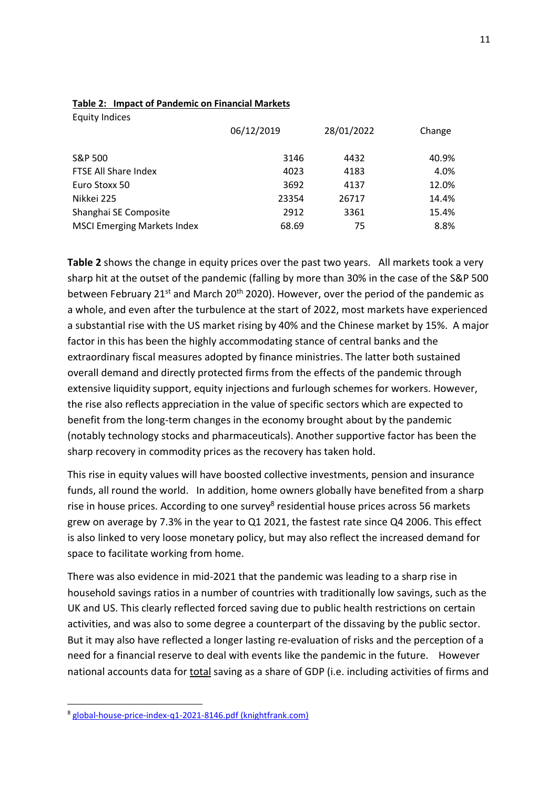| 06/12/2019 | 28/01/2022 | Change |
|------------|------------|--------|
| 3146       | 4432       | 40.9%  |
| 4023       | 4183       | 4.0%   |
| 3692       | 4137       | 12.0%  |
| 23354      | 26717      | 14.4%  |
| 2912       | 3361       | 15.4%  |
| 68.69      | 75         | 8.8%   |
|            |            |        |

### Table 2: Impact of Pandemic on Financial Markets

Equity Indices

Table 2 shows the change in equity prices over the past two years. All markets took a very sharp hit at the outset of the pandemic (falling by more than 30% in the case of the S&P 500 between February 21<sup>st</sup> and March 20<sup>th</sup> 2020). However, over the period of the pandemic as a whole, and even after the turbulence at the start of 2022, most markets have experienced a substantial rise with the US market rising by 40% and the Chinese market by 15%. A major factor in this has been the highly accommodating stance of central banks and the extraordinary fiscal measures adopted by finance ministries. The latter both sustained overall demand and directly protected firms from the effects of the pandemic through extensive liquidity support, equity injections and furlough schemes for workers. However, the rise also reflects appreciation in the value of specific sectors which are expected to benefit from the long-term changes in the economy brought about by the pandemic (notably technology stocks and pharmaceuticals). Another supportive factor has been the sharp recovery in commodity prices as the recovery has taken hold.

This rise in equity values will have boosted collective investments, pension and insurance funds, all round the world. In addition, home owners globally have benefited from a sharp rise in house prices. According to one survey<sup>8</sup> residential house prices across 56 markets grew on average by 7.3% in the year to Q1 2021, the fastest rate since Q4 2006. This effect is also linked to very loose monetary policy, but may also reflect the increased demand for space to facilitate working from home.

There was also evidence in mid-2021 that the pandemic was leading to a sharp rise in household savings ratios in a number of countries with traditionally low savings, such as the UK and US. This clearly reflected forced saving due to public health restrictions on certain activities, and was also to some degree a counterpart of the dissaving by the public sector. But it may also have reflected a longer lasting re-evaluation of risks and the perception of a need for a financial reserve to deal with events like the pandemic in the future. However national accounts data for total saving as a share of GDP (i.e. including activities of firms and

<sup>8</sup> global-house-price-index-q1-2021-8146.pdf (knightfrank.com)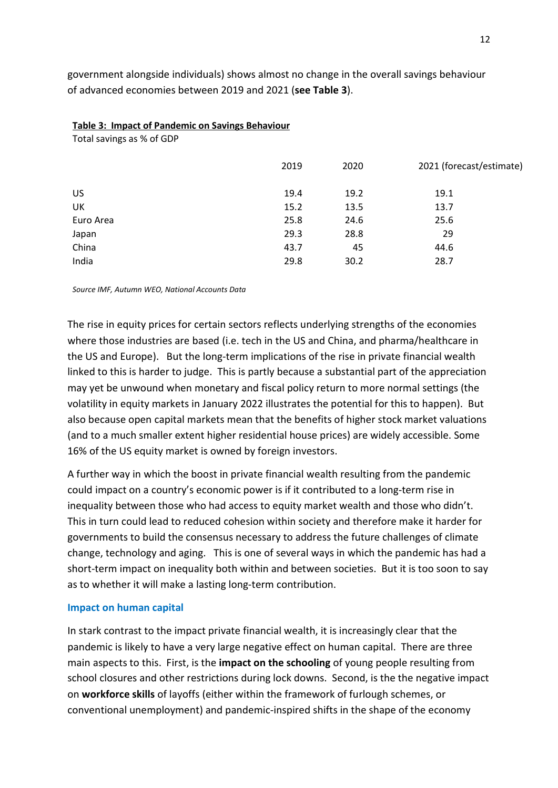government alongside individuals) shows almost no change in the overall savings behaviour of advanced economies between 2019 and 2021 (see Table 3).

#### Table 3: Impact of Pandemic on Savings Behaviour

Total savings as % of GDP

|           | 2019 | 2020 | 2021 (forecast/estimate) |
|-----------|------|------|--------------------------|
| US        | 19.4 | 19.2 | 19.1                     |
| UK        | 15.2 | 13.5 | 13.7                     |
| Euro Area | 25.8 | 24.6 | 25.6                     |
| Japan     | 29.3 | 28.8 | 29                       |
| China     | 43.7 | 45   | 44.6                     |
| India     | 29.8 | 30.2 | 28.7                     |

Source IMF, Autumn WEO, National Accounts Data

The rise in equity prices for certain sectors reflects underlying strengths of the economies where those industries are based (i.e. tech in the US and China, and pharma/healthcare in the US and Europe). But the long-term implications of the rise in private financial wealth linked to this is harder to judge. This is partly because a substantial part of the appreciation may yet be unwound when monetary and fiscal policy return to more normal settings (the volatility in equity markets in January 2022 illustrates the potential for this to happen). But also because open capital markets mean that the benefits of higher stock market valuations (and to a much smaller extent higher residential house prices) are widely accessible. Some 16% of the US equity market is owned by foreign investors.

A further way in which the boost in private financial wealth resulting from the pandemic could impact on a country's economic power is if it contributed to a long-term rise in inequality between those who had access to equity market wealth and those who didn't. This in turn could lead to reduced cohesion within society and therefore make it harder for governments to build the consensus necessary to address the future challenges of climate change, technology and aging. This is one of several ways in which the pandemic has had a short-term impact on inequality both within and between societies. But it is too soon to say as to whether it will make a lasting long-term contribution.

### Impact on human capital

In stark contrast to the impact private financial wealth, it is increasingly clear that the pandemic is likely to have a very large negative effect on human capital. There are three main aspects to this. First, is the impact on the schooling of young people resulting from school closures and other restrictions during lock downs. Second, is the the negative impact on workforce skills of layoffs (either within the framework of furlough schemes, or conventional unemployment) and pandemic-inspired shifts in the shape of the economy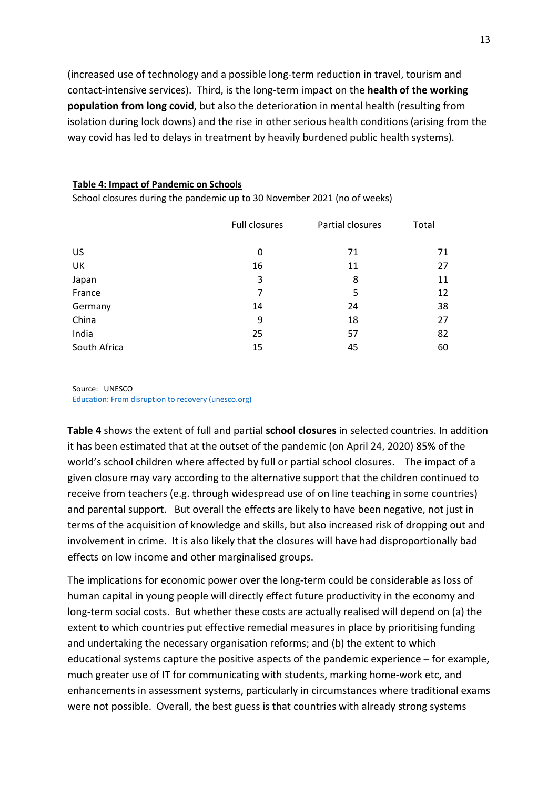(increased use of technology and a possible long-term reduction in travel, tourism and contact-intensive services). Third, is the long-term impact on the health of the working population from long covid, but also the deterioration in mental health (resulting from isolation during lock downs) and the rise in other serious health conditions (arising from the way covid has led to delays in treatment by heavily burdened public health systems).

#### Table 4: Impact of Pandemic on Schools

|              | <b>Full closures</b> | Partial closures | Total |
|--------------|----------------------|------------------|-------|
| <b>US</b>    | 0                    | 71               | 71    |
| UK           | 16                   | 11               | 27    |
| Japan        | 3                    | 8                | 11    |
| France       | 7                    | 5                | 12    |
| Germany      | 14                   | 24               | 38    |
| China        | 9                    | 18               | 27    |
| India        | 25                   | 57               | 82    |
| South Africa | 15                   | 45               | 60    |

School closures during the pandemic up to 30 November 2021 (no of weeks)

Source: UNESCO Education: From disruption to recovery (unesco.org)

Table 4 shows the extent of full and partial school closures in selected countries. In addition it has been estimated that at the outset of the pandemic (on April 24, 2020) 85% of the world's school children where affected by full or partial school closures. The impact of a given closure may vary according to the alternative support that the children continued to receive from teachers (e.g. through widespread use of on line teaching in some countries) and parental support. But overall the effects are likely to have been negative, not just in terms of the acquisition of knowledge and skills, but also increased risk of dropping out and involvement in crime. It is also likely that the closures will have had disproportionally bad effects on low income and other marginalised groups.

The implications for economic power over the long-term could be considerable as loss of human capital in young people will directly effect future productivity in the economy and long-term social costs. But whether these costs are actually realised will depend on (a) the extent to which countries put effective remedial measures in place by prioritising funding and undertaking the necessary organisation reforms; and (b) the extent to which educational systems capture the positive aspects of the pandemic experience – for example, much greater use of IT for communicating with students, marking home-work etc, and enhancements in assessment systems, particularly in circumstances where traditional exams were not possible. Overall, the best guess is that countries with already strong systems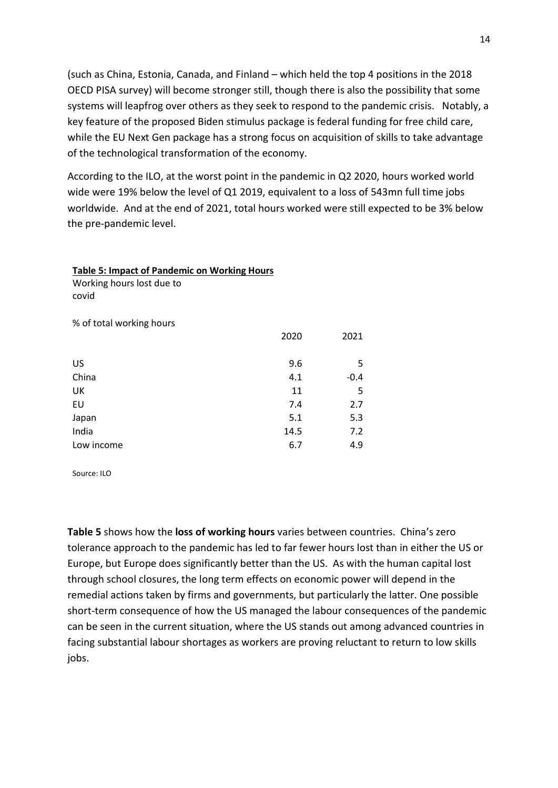(such as China, Estonia, Canada, and Finland – which held the top 4 positions in the 2018 OECD PISA survey) will become stronger still, though there is also the possibility that some systems will leapfrog over others as they seek to respond to the pandemic crisis. Notably, a key feature of the proposed Biden stimulus package is federal funding for free child care, while the EU Next Gen package has a strong focus on acquisition of skills to take advantage of the technological transformation of the economy.

According to the ILO, at the worst point in the pandemic in Q2 2020, hours worked world wide were 19% below the level of Q1 2019, equivalent to a loss of 543mn full time jobs worldwide. And at the end of 2021, total hours worked were still expected to be 3% below the pre-pandemic level.

| Working hours lost due to<br>covid |      |        |
|------------------------------------|------|--------|
| % of total working hours           |      |        |
|                                    | 2020 | 2021   |
|                                    |      |        |
| US                                 | 9.6  | 5      |
| China                              | 4.1  | $-0.4$ |
| UK                                 | 11   | 5      |
| EU                                 | 7.4  | 2.7    |
| Japan                              | 5.1  | 5.3    |
| India                              | 14.5 | 7.2    |
| Low income                         | 6.7  | 4.9    |

Table 5: Impact of Pandemic on Working Hours

Source: ILO

Table 5 shows how the loss of working hours varies between countries. China's zero tolerance approach to the pandemic has led to far fewer hours lost than in either the US or Europe, but Europe does significantly better than the US. As with the human capital lost through school closures, the long term effects on economic power will depend in the remedial actions taken by firms and governments, but particularly the latter. One possible short-term consequence of how the US managed the labour consequences of the pandemic can be seen in the current situation, where the US stands out among advanced countries in facing substantial labour shortages as workers are proving reluctant to return to low skills jobs.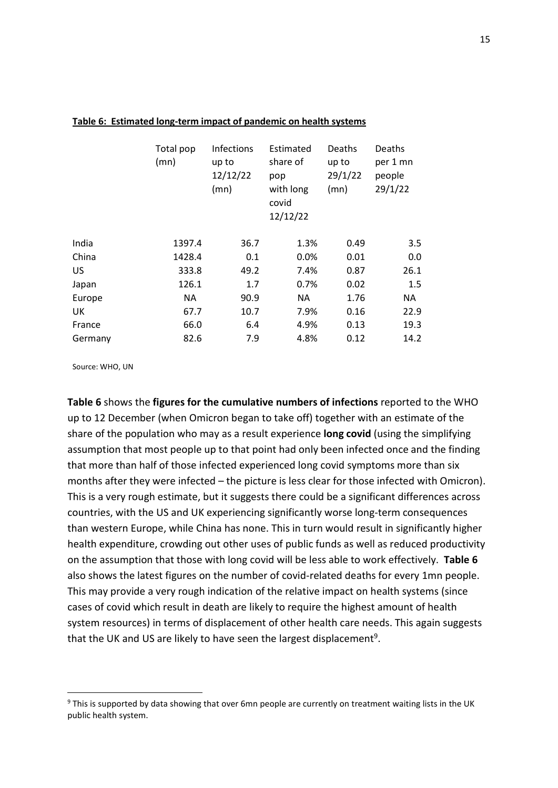|         | Total pop<br>(mn) | <b>Infections</b><br>up to<br>12/12/22<br>(mn) | Estimated<br>share of<br>pop<br>with long<br>covid<br>12/12/22 | Deaths<br>up to<br>29/1/22<br>(mn) | Deaths<br>per 1 mn<br>people<br>29/1/22 |
|---------|-------------------|------------------------------------------------|----------------------------------------------------------------|------------------------------------|-----------------------------------------|
| India   | 1397.4            | 36.7                                           | 1.3%                                                           | 0.49                               | 3.5                                     |
| China   | 1428.4            | 0.1                                            | 0.0%                                                           | 0.01                               | 0.0                                     |
| US      | 333.8             | 49.2                                           | 7.4%                                                           | 0.87                               | 26.1                                    |
| Japan   | 126.1             | 1.7                                            | 0.7%                                                           | 0.02                               | 1.5                                     |
| Europe  | <b>NA</b>         | 90.9                                           | NA.                                                            | 1.76                               | ΝA                                      |
| UK      | 67.7              | 10.7                                           | 7.9%                                                           | 0.16                               | 22.9                                    |
| France  | 66.0              | 6.4                                            | 4.9%                                                           | 0.13                               | 19.3                                    |
| Germany | 82.6              | 7.9                                            | 4.8%                                                           | 0.12                               | 14.2                                    |

#### Table 6: Estimated long-term impact of pandemic on health systems

Source: WHO, UN

Table 6 shows the figures for the cumulative numbers of infections reported to the WHO up to 12 December (when Omicron began to take off) together with an estimate of the share of the population who may as a result experience long covid (using the simplifying assumption that most people up to that point had only been infected once and the finding that more than half of those infected experienced long covid symptoms more than six months after they were infected – the picture is less clear for those infected with Omicron). This is a very rough estimate, but it suggests there could be a significant differences across countries, with the US and UK experiencing significantly worse long-term consequences than western Europe, while China has none. This in turn would result in significantly higher health expenditure, crowding out other uses of public funds as well as reduced productivity on the assumption that those with long covid will be less able to work effectively. Table 6 also shows the latest figures on the number of covid-related deaths for every 1mn people. This may provide a very rough indication of the relative impact on health systems (since cases of covid which result in death are likely to require the highest amount of health system resources) in terms of displacement of other health care needs. This again suggests that the UK and US are likely to have seen the largest displacement<sup>9</sup>.

<sup>&</sup>lt;sup>9</sup> This is supported by data showing that over 6mn people are currently on treatment waiting lists in the UK public health system.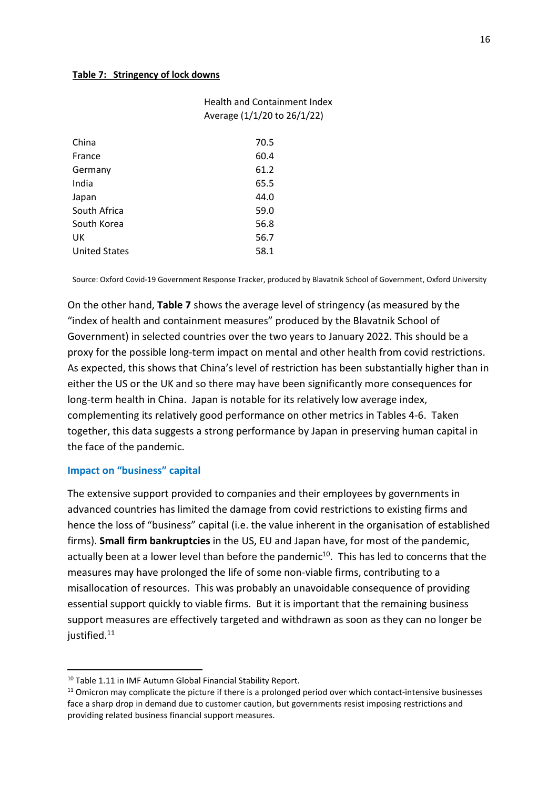### Table 7: Stringency of lock downs

| Average (1/1/20 to 26/1/22) |  |  |
|-----------------------------|--|--|
| 70.5                        |  |  |
| 60.4                        |  |  |
| 61.2                        |  |  |
| 65.5                        |  |  |
| 44.0                        |  |  |
| 59.0                        |  |  |
| 56.8                        |  |  |
| 56.7                        |  |  |
| 58.1                        |  |  |
|                             |  |  |

Source: Oxford Covid-19 Government Response Tracker, produced by Blavatnik School of Government, Oxford University

Health and Containment Index

On the other hand, Table 7 shows the average level of stringency (as measured by the "index of health and containment measures" produced by the Blavatnik School of Government) in selected countries over the two years to January 2022. This should be a proxy for the possible long-term impact on mental and other health from covid restrictions. As expected, this shows that China's level of restriction has been substantially higher than in either the US or the UK and so there may have been significantly more consequences for long-term health in China. Japan is notable for its relatively low average index, complementing its relatively good performance on other metrics in Tables 4-6. Taken together, this data suggests a strong performance by Japan in preserving human capital in the face of the pandemic.

### Impact on "business" capital

The extensive support provided to companies and their employees by governments in advanced countries has limited the damage from covid restrictions to existing firms and hence the loss of "business" capital (i.e. the value inherent in the organisation of established firms). Small firm bankruptcies in the US, EU and Japan have, for most of the pandemic, actually been at a lower level than before the pandemic $10$ . This has led to concerns that the measures may have prolonged the life of some non-viable firms, contributing to a misallocation of resources. This was probably an unavoidable consequence of providing essential support quickly to viable firms. But it is important that the remaining business support measures are effectively targeted and withdrawn as soon as they can no longer be justified.<sup>11</sup>

<sup>&</sup>lt;sup>10</sup> Table 1.11 in IMF Autumn Global Financial Stability Report.

<sup>&</sup>lt;sup>11</sup> Omicron may complicate the picture if there is a prolonged period over which contact-intensive businesses face a sharp drop in demand due to customer caution, but governments resist imposing restrictions and providing related business financial support measures.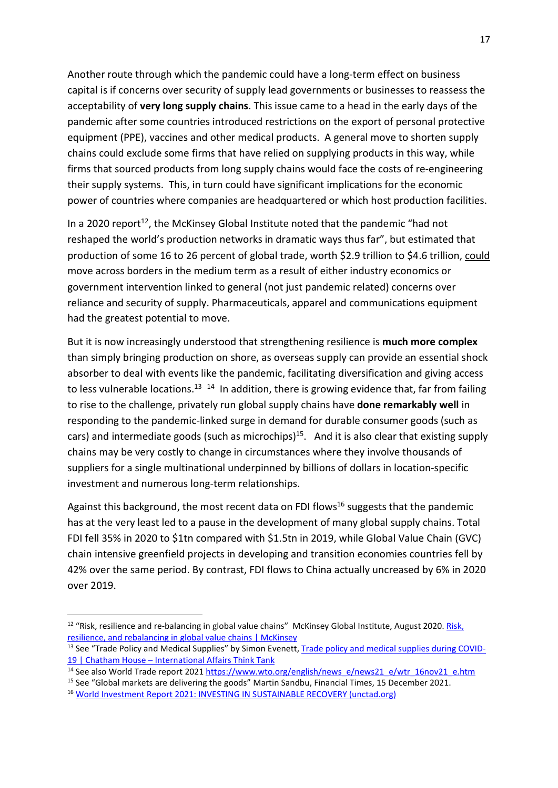Another route through which the pandemic could have a long-term effect on business capital is if concerns over security of supply lead governments or businesses to reassess the acceptability of very long supply chains. This issue came to a head in the early days of the pandemic after some countries introduced restrictions on the export of personal protective equipment (PPE), vaccines and other medical products. A general move to shorten supply chains could exclude some firms that have relied on supplying products in this way, while firms that sourced products from long supply chains would face the costs of re-engineering their supply systems. This, in turn could have significant implications for the economic power of countries where companies are headquartered or which host production facilities.

In a 2020 report<sup>12</sup>, the McKinsey Global Institute noted that the pandemic "had not reshaped the world's production networks in dramatic ways thus far", but estimated that production of some 16 to 26 percent of global trade, worth \$2.9 trillion to \$4.6 trillion, could move across borders in the medium term as a result of either industry economics or government intervention linked to general (not just pandemic related) concerns over reliance and security of supply. Pharmaceuticals, apparel and communications equipment had the greatest potential to move.

But it is now increasingly understood that strengthening resilience is much more complex than simply bringing production on shore, as overseas supply can provide an essential shock absorber to deal with events like the pandemic, facilitating diversification and giving access to less vulnerable locations.<sup>13</sup> <sup>14</sup> In addition, there is growing evidence that, far from failing to rise to the challenge, privately run global supply chains have done remarkably well in responding to the pandemic-linked surge in demand for durable consumer goods (such as cars) and intermediate goods (such as microchips)<sup>15</sup>. And it is also clear that existing supply chains may be very costly to change in circumstances where they involve thousands of suppliers for a single multinational underpinned by billions of dollars in location-specific investment and numerous long-term relationships.

Against this background, the most recent data on FDI flows<sup>16</sup> suggests that the pandemic has at the very least led to a pause in the development of many global supply chains. Total FDI fell 35% in 2020 to \$1tn compared with \$1.5tn in 2019, while Global Value Chain (GVC) chain intensive greenfield projects in developing and transition economies countries fell by 42% over the same period. By contrast, FDI flows to China actually uncreased by 6% in 2020 over 2019.

 $12$  "Risk, resilience and re-balancing in global value chains" McKinsey Global Institute, August 2020. Risk, resilience, and rebalancing in global value chains | McKinsey

<sup>&</sup>lt;sup>13</sup> See "Trade Policy and Medical Supplies" by Simon Evenett, Trade policy and medical supplies during COVID-19 | Chatham House – International Affairs Think Tank

<sup>&</sup>lt;sup>14</sup> See also World Trade report 2021 https://www.wto.org/english/news\_e/news21\_e/wtr\_16nov21\_e.htm

<sup>15</sup> See "Global markets are delivering the goods" Martin Sandbu, Financial Times, 15 December 2021.

<sup>16</sup> World Investment Report 2021: INVESTING IN SUSTAINABLE RECOVERY (unctad.org)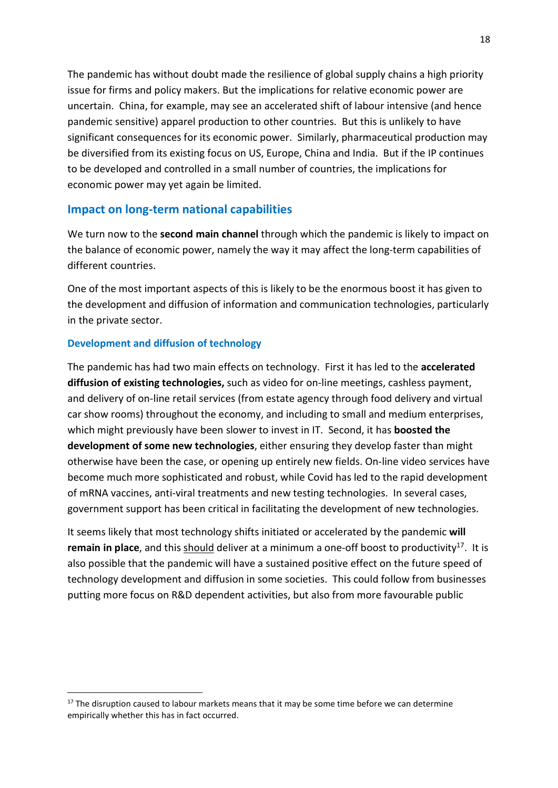The pandemic has without doubt made the resilience of global supply chains a high priority issue for firms and policy makers. But the implications for relative economic power are uncertain. China, for example, may see an accelerated shift of labour intensive (and hence pandemic sensitive) apparel production to other countries. But this is unlikely to have significant consequences for its economic power. Similarly, pharmaceutical production may be diversified from its existing focus on US, Europe, China and India. But if the IP continues to be developed and controlled in a small number of countries, the implications for economic power may yet again be limited.

### Impact on long-term national capabilities

We turn now to the second main channel through which the pandemic is likely to impact on the balance of economic power, namely the way it may affect the long-term capabilities of different countries.

One of the most important aspects of this is likely to be the enormous boost it has given to the development and diffusion of information and communication technologies, particularly in the private sector.

### Development and diffusion of technology

The pandemic has had two main effects on technology. First it has led to the accelerated diffusion of existing technologies, such as video for on-line meetings, cashless payment, and delivery of on-line retail services (from estate agency through food delivery and virtual car show rooms) throughout the economy, and including to small and medium enterprises, which might previously have been slower to invest in IT. Second, it has **boosted the** development of some new technologies, either ensuring they develop faster than might otherwise have been the case, or opening up entirely new fields. On-line video services have become much more sophisticated and robust, while Covid has led to the rapid development of mRNA vaccines, anti-viral treatments and new testing technologies. In several cases, government support has been critical in facilitating the development of new technologies.

It seems likely that most technology shifts initiated or accelerated by the pandemic will remain in place, and this should deliver at a minimum a one-off boost to productivity<sup>17</sup>. It is also possible that the pandemic will have a sustained positive effect on the future speed of technology development and diffusion in some societies. This could follow from businesses putting more focus on R&D dependent activities, but also from more favourable public

<sup>&</sup>lt;sup>17</sup> The disruption caused to labour markets means that it may be some time before we can determine empirically whether this has in fact occurred.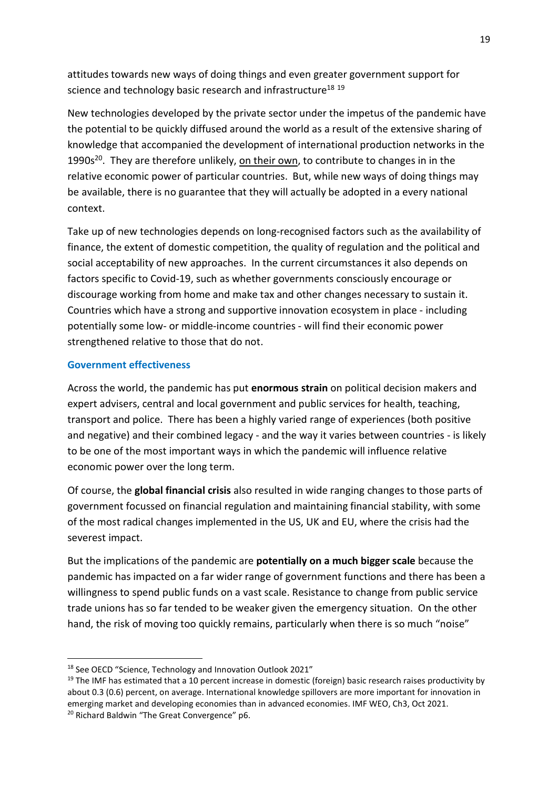attitudes towards new ways of doing things and even greater government support for science and technology basic research and infrastructure<sup>18 19</sup>

New technologies developed by the private sector under the impetus of the pandemic have the potential to be quickly diffused around the world as a result of the extensive sharing of knowledge that accompanied the development of international production networks in the 1990 $s^{20}$ . They are therefore unlikely, on their own, to contribute to changes in in the relative economic power of particular countries. But, while new ways of doing things may be available, there is no guarantee that they will actually be adopted in a every national context.

Take up of new technologies depends on long-recognised factors such as the availability of finance, the extent of domestic competition, the quality of regulation and the political and social acceptability of new approaches. In the current circumstances it also depends on factors specific to Covid-19, such as whether governments consciously encourage or discourage working from home and make tax and other changes necessary to sustain it. Countries which have a strong and supportive innovation ecosystem in place - including potentially some low- or middle-income countries - will find their economic power strengthened relative to those that do not.

### Government effectiveness

Across the world, the pandemic has put enormous strain on political decision makers and expert advisers, central and local government and public services for health, teaching, transport and police. There has been a highly varied range of experiences (both positive and negative) and their combined legacy - and the way it varies between countries - is likely to be one of the most important ways in which the pandemic will influence relative economic power over the long term.

Of course, the global financial crisis also resulted in wide ranging changes to those parts of government focussed on financial regulation and maintaining financial stability, with some of the most radical changes implemented in the US, UK and EU, where the crisis had the severest impact.

But the implications of the pandemic are **potentially on a much bigger scale** because the pandemic has impacted on a far wider range of government functions and there has been a willingness to spend public funds on a vast scale. Resistance to change from public service trade unions has so far tended to be weaker given the emergency situation. On the other hand, the risk of moving too quickly remains, particularly when there is so much "noise"

<sup>&</sup>lt;sup>18</sup> See OECD "Science, Technology and Innovation Outlook 2021"

<sup>&</sup>lt;sup>19</sup> The IMF has estimated that a 10 percent increase in domestic (foreign) basic research raises productivity by about 0.3 (0.6) percent, on average. International knowledge spillovers are more important for innovation in emerging market and developing economies than in advanced economies. IMF WEO, Ch3, Oct 2021. 20 Richard Baldwin "The Great Convergence" p6.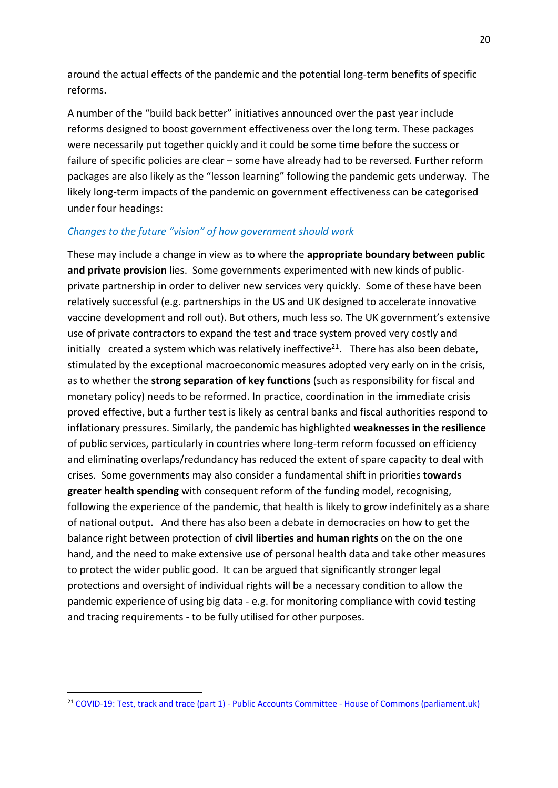around the actual effects of the pandemic and the potential long-term benefits of specific reforms.

A number of the "build back better" initiatives announced over the past year include reforms designed to boost government effectiveness over the long term. These packages were necessarily put together quickly and it could be some time before the success or failure of specific policies are clear – some have already had to be reversed. Further reform packages are also likely as the "lesson learning" following the pandemic gets underway. The likely long-term impacts of the pandemic on government effectiveness can be categorised under four headings:

### Changes to the future "vision" of how government should work

These may include a change in view as to where the appropriate boundary between public and private provision lies. Some governments experimented with new kinds of publicprivate partnership in order to deliver new services very quickly. Some of these have been relatively successful (e.g. partnerships in the US and UK designed to accelerate innovative vaccine development and roll out). But others, much less so. The UK government's extensive use of private contractors to expand the test and trace system proved very costly and initially created a system which was relatively ineffective<sup>21</sup>. There has also been debate, stimulated by the exceptional macroeconomic measures adopted very early on in the crisis, as to whether the strong separation of key functions (such as responsibility for fiscal and monetary policy) needs to be reformed. In practice, coordination in the immediate crisis proved effective, but a further test is likely as central banks and fiscal authorities respond to inflationary pressures. Similarly, the pandemic has highlighted weaknesses in the resilience of public services, particularly in countries where long-term reform focussed on efficiency and eliminating overlaps/redundancy has reduced the extent of spare capacity to deal with crises. Some governments may also consider a fundamental shift in priorities towards greater health spending with consequent reform of the funding model, recognising, following the experience of the pandemic, that health is likely to grow indefinitely as a share of national output. And there has also been a debate in democracies on how to get the balance right between protection of civil liberties and human rights on the on the one hand, and the need to make extensive use of personal health data and take other measures to protect the wider public good. It can be argued that significantly stronger legal protections and oversight of individual rights will be a necessary condition to allow the pandemic experience of using big data - e.g. for monitoring compliance with covid testing and tracing requirements - to be fully utilised for other purposes.

<sup>&</sup>lt;sup>21</sup> COVID-19: Test, track and trace (part 1) - Public Accounts Committee - House of Commons (parliament.uk)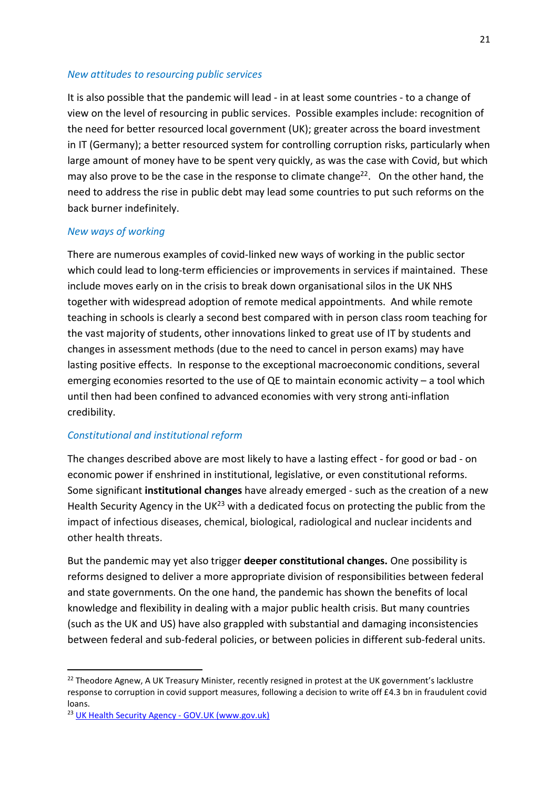### New attitudes to resourcing public services

It is also possible that the pandemic will lead - in at least some countries - to a change of view on the level of resourcing in public services. Possible examples include: recognition of the need for better resourced local government (UK); greater across the board investment in IT (Germany); a better resourced system for controlling corruption risks, particularly when large amount of money have to be spent very quickly, as was the case with Covid, but which may also prove to be the case in the response to climate change<sup>22</sup>. On the other hand, the need to address the rise in public debt may lead some countries to put such reforms on the back burner indefinitely.

### New ways of working

There are numerous examples of covid-linked new ways of working in the public sector which could lead to long-term efficiencies or improvements in services if maintained. These include moves early on in the crisis to break down organisational silos in the UK NHS together with widespread adoption of remote medical appointments. And while remote teaching in schools is clearly a second best compared with in person class room teaching for the vast majority of students, other innovations linked to great use of IT by students and changes in assessment methods (due to the need to cancel in person exams) may have lasting positive effects. In response to the exceptional macroeconomic conditions, several emerging economies resorted to the use of QE to maintain economic activity – a tool which until then had been confined to advanced economies with very strong anti-inflation credibility.

### Constitutional and institutional reform

The changes described above are most likely to have a lasting effect - for good or bad - on economic power if enshrined in institutional, legislative, or even constitutional reforms. Some significant institutional changes have already emerged - such as the creation of a new Health Security Agency in the UK $^{23}$  with a dedicated focus on protecting the public from the impact of infectious diseases, chemical, biological, radiological and nuclear incidents and other health threats.

But the pandemic may yet also trigger deeper constitutional changes. One possibility is reforms designed to deliver a more appropriate division of responsibilities between federal and state governments. On the one hand, the pandemic has shown the benefits of local knowledge and flexibility in dealing with a major public health crisis. But many countries (such as the UK and US) have also grappled with substantial and damaging inconsistencies between federal and sub-federal policies, or between policies in different sub-federal units.

<sup>&</sup>lt;sup>22</sup> Theodore Agnew, A UK Treasury Minister, recently resigned in protest at the UK government's lacklustre response to corruption in covid support measures, following a decision to write off £4.3 bn in fraudulent covid loans.

<sup>23</sup> UK Health Security Agency - GOV.UK (www.gov.uk)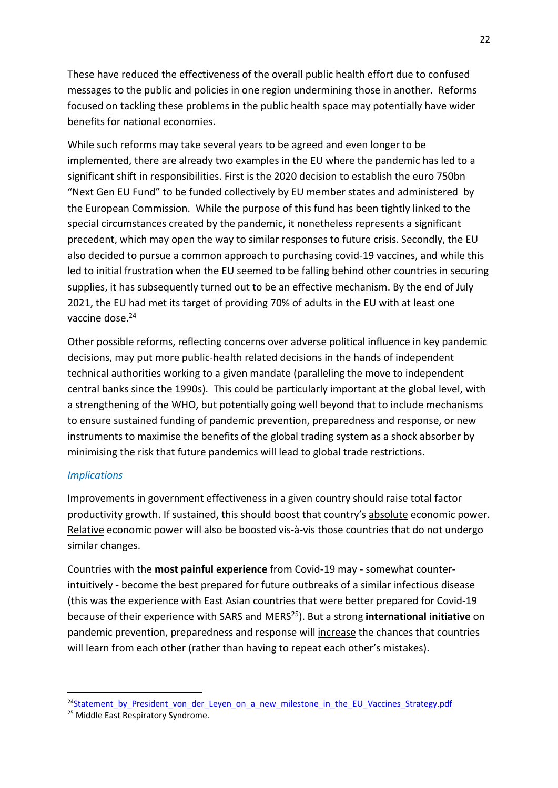These have reduced the effectiveness of the overall public health effort due to confused messages to the public and policies in one region undermining those in another. Reforms focused on tackling these problems in the public health space may potentially have wider benefits for national economies.

While such reforms may take several years to be agreed and even longer to be implemented, there are already two examples in the EU where the pandemic has led to a significant shift in responsibilities. First is the 2020 decision to establish the euro 750bn "Next Gen EU Fund" to be funded collectively by EU member states and administered by the European Commission. While the purpose of this fund has been tightly linked to the special circumstances created by the pandemic, it nonetheless represents a significant precedent, which may open the way to similar responses to future crisis. Secondly, the EU also decided to pursue a common approach to purchasing covid-19 vaccines, and while this led to initial frustration when the EU seemed to be falling behind other countries in securing supplies, it has subsequently turned out to be an effective mechanism. By the end of July 2021, the EU had met its target of providing 70% of adults in the EU with at least one vaccine dose.<sup>24</sup>

Other possible reforms, reflecting concerns over adverse political influence in key pandemic decisions, may put more public-health related decisions in the hands of independent technical authorities working to a given mandate (paralleling the move to independent central banks since the 1990s). This could be particularly important at the global level, with a strengthening of the WHO, but potentially going well beyond that to include mechanisms to ensure sustained funding of pandemic prevention, preparedness and response, or new instruments to maximise the benefits of the global trading system as a shock absorber by minimising the risk that future pandemics will lead to global trade restrictions.

### **Implications**

Improvements in government effectiveness in a given country should raise total factor productivity growth. If sustained, this should boost that country's absolute economic power. Relative economic power will also be boosted vis-à-vis those countries that do not undergo similar changes.

Countries with the most painful experience from Covid-19 may - somewhat counterintuitively - become the best prepared for future outbreaks of a similar infectious disease (this was the experience with East Asian countries that were better prepared for Covid-19 because of their experience with SARS and MERS<sup>25</sup>). But a strong international initiative on pandemic prevention, preparedness and response will increase the chances that countries will learn from each other (rather than having to repeat each other's mistakes).

<sup>&</sup>lt;sup>24</sup>Statement by President von der Leyen on a new milestone in the EU Vaccines Strategy.pdf

<sup>&</sup>lt;sup>25</sup> Middle East Respiratory Syndrome.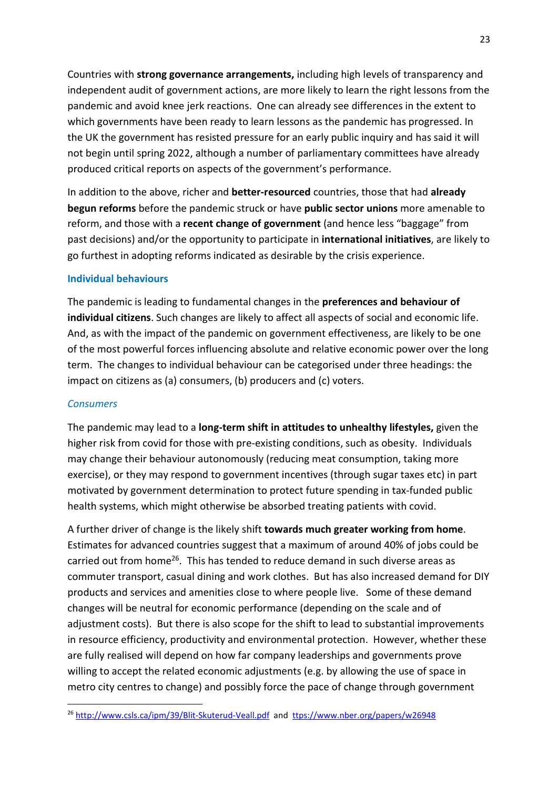Countries with strong governance arrangements, including high levels of transparency and independent audit of government actions, are more likely to learn the right lessons from the pandemic and avoid knee jerk reactions. One can already see differences in the extent to which governments have been ready to learn lessons as the pandemic has progressed. In the UK the government has resisted pressure for an early public inquiry and has said it will not begin until spring 2022, although a number of parliamentary committees have already produced critical reports on aspects of the government's performance.

In addition to the above, richer and better-resourced countries, those that had already begun reforms before the pandemic struck or have public sector unions more amenable to reform, and those with a recent change of government (and hence less "baggage" from past decisions) and/or the opportunity to participate in international initiatives, are likely to go furthest in adopting reforms indicated as desirable by the crisis experience.

### Individual behaviours

The pandemic is leading to fundamental changes in the preferences and behaviour of individual citizens. Such changes are likely to affect all aspects of social and economic life. And, as with the impact of the pandemic on government effectiveness, are likely to be one of the most powerful forces influencing absolute and relative economic power over the long term. The changes to individual behaviour can be categorised under three headings: the impact on citizens as (a) consumers, (b) producers and (c) voters.

### **Consumers**

The pandemic may lead to a long-term shift in attitudes to unhealthy lifestyles, given the higher risk from covid for those with pre-existing conditions, such as obesity. Individuals may change their behaviour autonomously (reducing meat consumption, taking more exercise), or they may respond to government incentives (through sugar taxes etc) in part motivated by government determination to protect future spending in tax-funded public health systems, which might otherwise be absorbed treating patients with covid.

A further driver of change is the likely shift towards much greater working from home. Estimates for advanced countries suggest that a maximum of around 40% of jobs could be carried out from home<sup>26</sup>. This has tended to reduce demand in such diverse areas as commuter transport, casual dining and work clothes. But has also increased demand for DIY products and services and amenities close to where people live. Some of these demand changes will be neutral for economic performance (depending on the scale and of adjustment costs). But there is also scope for the shift to lead to substantial improvements in resource efficiency, productivity and environmental protection. However, whether these are fully realised will depend on how far company leaderships and governments prove willing to accept the related economic adjustments (e.g. by allowing the use of space in metro city centres to change) and possibly force the pace of change through government

<sup>&</sup>lt;sup>26</sup> http://www.csls.ca/ipm/39/Blit-Skuterud-Veall.pdf and ttps://www.nber.org/papers/w26948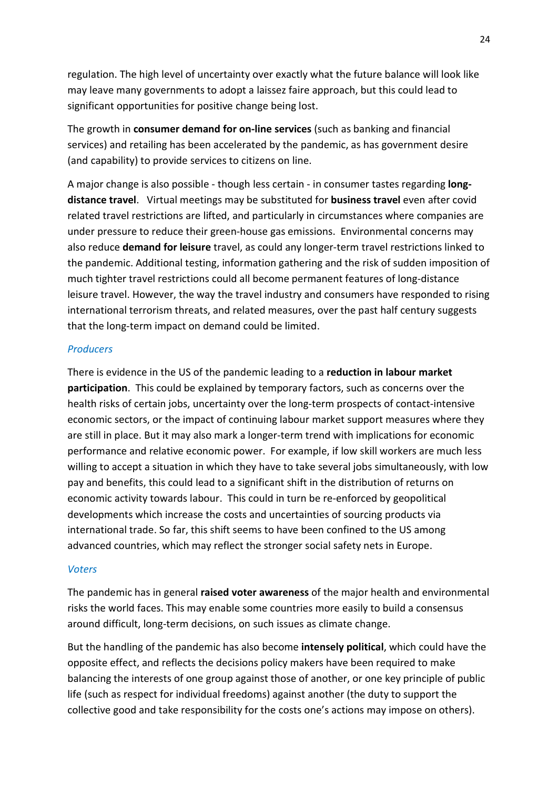regulation. The high level of uncertainty over exactly what the future balance will look like may leave many governments to adopt a laissez faire approach, but this could lead to significant opportunities for positive change being lost.

The growth in consumer demand for on-line services (such as banking and financial services) and retailing has been accelerated by the pandemic, as has government desire (and capability) to provide services to citizens on line.

A major change is also possible - though less certain - in consumer tastes regarding longdistance travel. Virtual meetings may be substituted for business travel even after covid related travel restrictions are lifted, and particularly in circumstances where companies are under pressure to reduce their green-house gas emissions. Environmental concerns may also reduce **demand for leisure** travel, as could any longer-term travel restrictions linked to the pandemic. Additional testing, information gathering and the risk of sudden imposition of much tighter travel restrictions could all become permanent features of long-distance leisure travel. However, the way the travel industry and consumers have responded to rising international terrorism threats, and related measures, over the past half century suggests that the long-term impact on demand could be limited.

### **Producers**

There is evidence in the US of the pandemic leading to a reduction in labour market participation. This could be explained by temporary factors, such as concerns over the health risks of certain jobs, uncertainty over the long-term prospects of contact-intensive economic sectors, or the impact of continuing labour market support measures where they are still in place. But it may also mark a longer-term trend with implications for economic performance and relative economic power. For example, if low skill workers are much less willing to accept a situation in which they have to take several jobs simultaneously, with low pay and benefits, this could lead to a significant shift in the distribution of returns on economic activity towards labour. This could in turn be re-enforced by geopolitical developments which increase the costs and uncertainties of sourcing products via international trade. So far, this shift seems to have been confined to the US among advanced countries, which may reflect the stronger social safety nets in Europe.

### Voters

The pandemic has in general raised voter awareness of the major health and environmental risks the world faces. This may enable some countries more easily to build a consensus around difficult, long-term decisions, on such issues as climate change.

But the handling of the pandemic has also become intensely political, which could have the opposite effect, and reflects the decisions policy makers have been required to make balancing the interests of one group against those of another, or one key principle of public life (such as respect for individual freedoms) against another (the duty to support the collective good and take responsibility for the costs one's actions may impose on others).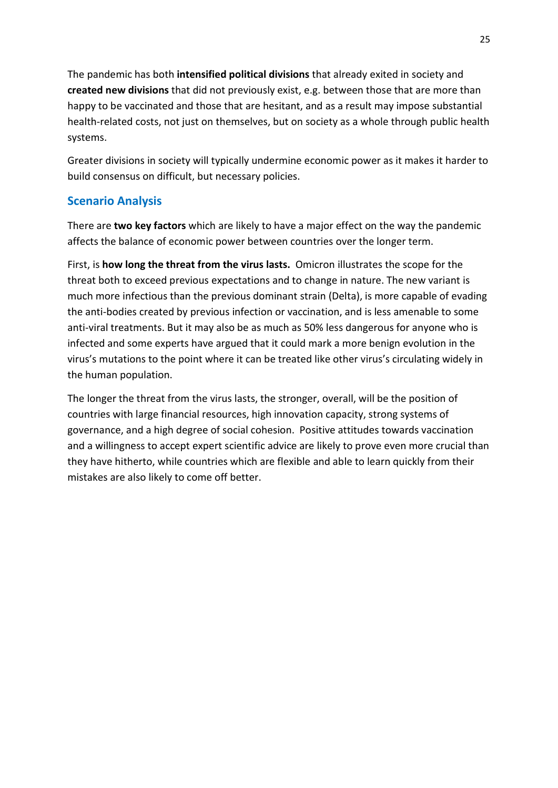The pandemic has both intensified political divisions that already exited in society and created new divisions that did not previously exist, e.g. between those that are more than happy to be vaccinated and those that are hesitant, and as a result may impose substantial health-related costs, not just on themselves, but on society as a whole through public health systems.

Greater divisions in society will typically undermine economic power as it makes it harder to build consensus on difficult, but necessary policies.

# Scenario Analysis

There are two key factors which are likely to have a major effect on the way the pandemic affects the balance of economic power between countries over the longer term.

First, is how long the threat from the virus lasts. Omicron illustrates the scope for the threat both to exceed previous expectations and to change in nature. The new variant is much more infectious than the previous dominant strain (Delta), is more capable of evading the anti-bodies created by previous infection or vaccination, and is less amenable to some anti-viral treatments. But it may also be as much as 50% less dangerous for anyone who is infected and some experts have argued that it could mark a more benign evolution in the virus's mutations to the point where it can be treated like other virus's circulating widely in the human population.

The longer the threat from the virus lasts, the stronger, overall, will be the position of countries with large financial resources, high innovation capacity, strong systems of governance, and a high degree of social cohesion. Positive attitudes towards vaccination and a willingness to accept expert scientific advice are likely to prove even more crucial than they have hitherto, while countries which are flexible and able to learn quickly from their mistakes are also likely to come off better.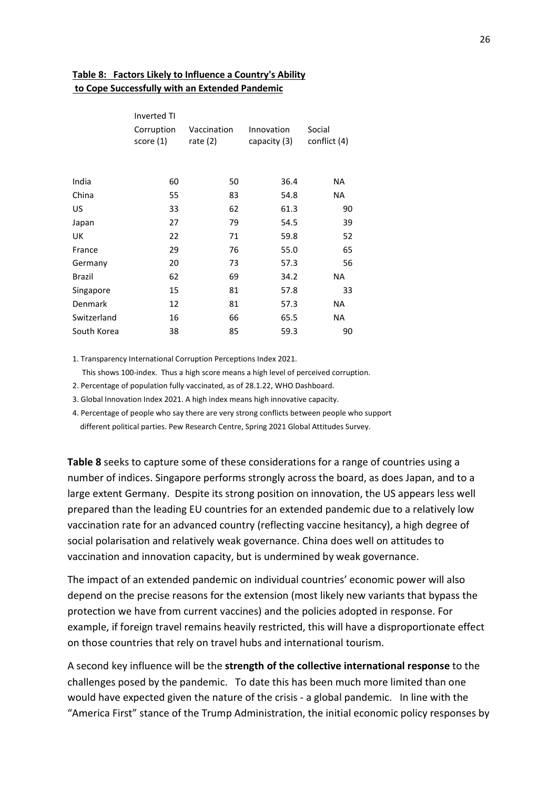### Table 8: Factors Likely to Influence a Country's Ability to Cope Successfully with an Extended Pandemic

|             | <b>Inverted TI</b>     |                           |                            |                        |  |  |
|-------------|------------------------|---------------------------|----------------------------|------------------------|--|--|
|             | Corruption<br>score(1) | Vaccination<br>rate $(2)$ | Innovation<br>capacity (3) | Social<br>conflict (4) |  |  |
|             |                        |                           |                            |                        |  |  |
| India       | 60                     | 50                        | 36.4                       | NA                     |  |  |
| China       | 55                     | 83                        | 54.8                       | <b>NA</b>              |  |  |
| US          | 33                     | 62                        | 61.3                       | 90                     |  |  |
| Japan       | 27                     | 79                        | 54.5                       | 39                     |  |  |
| UK          | 22                     | 71                        | 59.8                       | 52                     |  |  |
| France      | 29                     | 76                        | 55.0                       | 65                     |  |  |
| Germany     | 20                     | 73                        | 57.3                       | 56                     |  |  |
| Brazil      | 62                     | 69                        | 34.2                       | ΝA                     |  |  |
| Singapore   | 15                     | 81                        | 57.8                       | 33                     |  |  |
| Denmark     | 12                     | 81                        | 57.3                       | NA                     |  |  |
| Switzerland | 16                     | 66                        | 65.5                       | NA                     |  |  |
| South Korea | 38                     | 85                        | 59.3                       | 90                     |  |  |
|             |                        |                           |                            |                        |  |  |

1. Transparency International Corruption Perceptions Index 2021.

This shows 100-index. Thus a high score means a high level of perceived corruption.

2. Percentage of population fully vaccinated, as of 28.1.22, WHO Dashboard.

3. Global Innovation Index 2021. A high index means high innovative capacity.

4. Percentage of people who say there are very strong conflicts between people who support different political parties. Pew Research Centre, Spring 2021 Global Attitudes Survey.

Table 8 seeks to capture some of these considerations for a range of countries using a number of indices. Singapore performs strongly across the board, as does Japan, and to a large extent Germany. Despite its strong position on innovation, the US appears less well prepared than the leading EU countries for an extended pandemic due to a relatively low vaccination rate for an advanced country (reflecting vaccine hesitancy), a high degree of social polarisation and relatively weak governance. China does well on attitudes to vaccination and innovation capacity, but is undermined by weak governance.

The impact of an extended pandemic on individual countries' economic power will also depend on the precise reasons for the extension (most likely new variants that bypass the protection we have from current vaccines) and the policies adopted in response. For example, if foreign travel remains heavily restricted, this will have a disproportionate effect on those countries that rely on travel hubs and international tourism.

A second key influence will be the strength of the collective international response to the challenges posed by the pandemic. To date this has been much more limited than one would have expected given the nature of the crisis - a global pandemic. In line with the "America First" stance of the Trump Administration, the initial economic policy responses by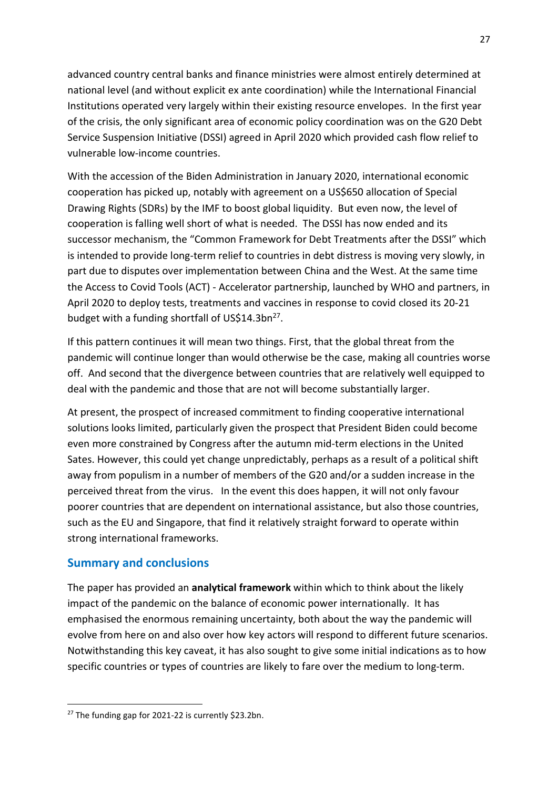advanced country central banks and finance ministries were almost entirely determined at national level (and without explicit ex ante coordination) while the International Financial Institutions operated very largely within their existing resource envelopes. In the first year of the crisis, the only significant area of economic policy coordination was on the G20 Debt Service Suspension Initiative (DSSI) agreed in April 2020 which provided cash flow relief to vulnerable low-income countries.

With the accession of the Biden Administration in January 2020, international economic cooperation has picked up, notably with agreement on a US\$650 allocation of Special Drawing Rights (SDRs) by the IMF to boost global liquidity. But even now, the level of cooperation is falling well short of what is needed. The DSSI has now ended and its successor mechanism, the "Common Framework for Debt Treatments after the DSSI" which is intended to provide long-term relief to countries in debt distress is moving very slowly, in part due to disputes over implementation between China and the West. At the same time the Access to Covid Tools (ACT) - Accelerator partnership, launched by WHO and partners, in April 2020 to deploy tests, treatments and vaccines in response to covid closed its 20-21 budget with a funding shortfall of US\$14.3bn<sup>27</sup>.

If this pattern continues it will mean two things. First, that the global threat from the pandemic will continue longer than would otherwise be the case, making all countries worse off. And second that the divergence between countries that are relatively well equipped to deal with the pandemic and those that are not will become substantially larger.

At present, the prospect of increased commitment to finding cooperative international solutions looks limited, particularly given the prospect that President Biden could become even more constrained by Congress after the autumn mid-term elections in the United Sates. However, this could yet change unpredictably, perhaps as a result of a political shift away from populism in a number of members of the G20 and/or a sudden increase in the perceived threat from the virus. In the event this does happen, it will not only favour poorer countries that are dependent on international assistance, but also those countries, such as the EU and Singapore, that find it relatively straight forward to operate within strong international frameworks.

### Summary and conclusions

The paper has provided an **analytical framework** within which to think about the likely impact of the pandemic on the balance of economic power internationally. It has emphasised the enormous remaining uncertainty, both about the way the pandemic will evolve from here on and also over how key actors will respond to different future scenarios. Notwithstanding this key caveat, it has also sought to give some initial indications as to how specific countries or types of countries are likely to fare over the medium to long-term.

<sup>&</sup>lt;sup>27</sup> The funding gap for 2021-22 is currently \$23.2bn.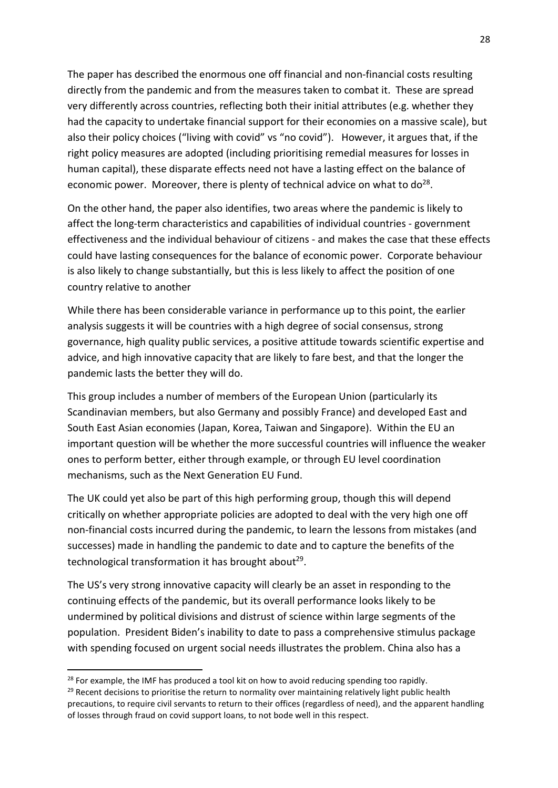The paper has described the enormous one off financial and non-financial costs resulting directly from the pandemic and from the measures taken to combat it. These are spread very differently across countries, reflecting both their initial attributes (e.g. whether they had the capacity to undertake financial support for their economies on a massive scale), but also their policy choices ("living with covid" vs "no covid"). However, it argues that, if the right policy measures are adopted (including prioritising remedial measures for losses in human capital), these disparate effects need not have a lasting effect on the balance of economic power. Moreover, there is plenty of technical advice on what to  $do^{28}$ .

On the other hand, the paper also identifies, two areas where the pandemic is likely to affect the long-term characteristics and capabilities of individual countries - government effectiveness and the individual behaviour of citizens - and makes the case that these effects could have lasting consequences for the balance of economic power. Corporate behaviour is also likely to change substantially, but this is less likely to affect the position of one country relative to another

While there has been considerable variance in performance up to this point, the earlier analysis suggests it will be countries with a high degree of social consensus, strong governance, high quality public services, a positive attitude towards scientific expertise and advice, and high innovative capacity that are likely to fare best, and that the longer the pandemic lasts the better they will do.

This group includes a number of members of the European Union (particularly its Scandinavian members, but also Germany and possibly France) and developed East and South East Asian economies (Japan, Korea, Taiwan and Singapore). Within the EU an important question will be whether the more successful countries will influence the weaker ones to perform better, either through example, or through EU level coordination mechanisms, such as the Next Generation EU Fund.

The UK could yet also be part of this high performing group, though this will depend critically on whether appropriate policies are adopted to deal with the very high one off non-financial costs incurred during the pandemic, to learn the lessons from mistakes (and successes) made in handling the pandemic to date and to capture the benefits of the technological transformation it has brought about<sup>29</sup>.

The US's very strong innovative capacity will clearly be an asset in responding to the continuing effects of the pandemic, but its overall performance looks likely to be undermined by political divisions and distrust of science within large segments of the population. President Biden's inability to date to pass a comprehensive stimulus package with spending focused on urgent social needs illustrates the problem. China also has a

<sup>&</sup>lt;sup>28</sup> For example, the IMF has produced a tool kit on how to avoid reducing spending too rapidly.

<sup>&</sup>lt;sup>29</sup> Recent decisions to prioritise the return to normality over maintaining relatively light public health precautions, to require civil servants to return to their offices (regardless of need), and the apparent handling of losses through fraud on covid support loans, to not bode well in this respect.